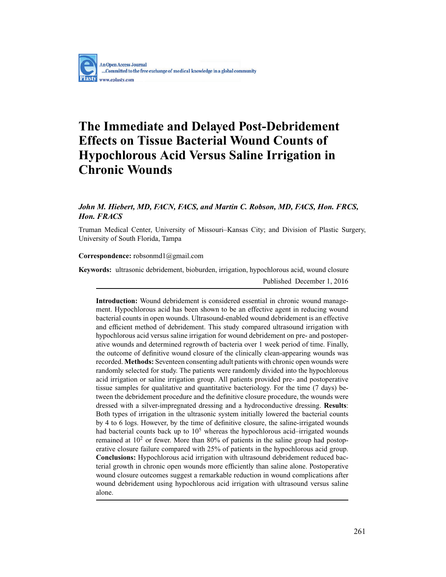

# **The Immediate and Delayed Post-Debridement Effects on Tissue Bacterial Wound Counts of Hypochlorous Acid Versus Saline Irrigation in Chronic Wounds**

# *John M. Hiebert, MD, FACN, FACS, and Martin C. Robson, MD, FACS, Hon. FRCS, Hon. FRACS*

Truman Medical Center, University of Missouri–Kansas City; and Division of Plastic Surgery, University of South Florida, Tampa

**Correspondence:** robsonmd1@gmail.com

**Keywords:** ultrasonic debridement, bioburden, irrigation, hypochlorous acid, wound closure Published December 1, 2016

**Introduction:** Wound debridement is considered essential in chronic wound management. Hypochlorous acid has been shown to be an effective agent in reducing wound bacterial counts in open wounds. Ultrasound-enabled wound debridement is an effective and efficient method of debridement. This study compared ultrasound irrigation with hypochlorous acid versus saline irrigation for wound debridement on pre- and postoperative wounds and determined regrowth of bacteria over 1 week period of time. Finally, the outcome of definitive wound closure of the clinically clean-appearing wounds was recorded. **Methods:** Seventeen consenting adult patients with chronic open wounds were randomly selected for study. The patients were randomly divided into the hypochlorous acid irrigation or saline irrigation group. All patients provided pre- and postoperative tissue samples for qualitative and quantitative bacteriology. For the time (7 days) between the debridement procedure and the definitive closure procedure, the wounds were dressed with a silver-impregnated dressing and a hydroconductive dressing. **Results**: Both types of irrigation in the ultrasonic system initially lowered the bacterial counts by 4 to 6 logs. However, by the time of definitive closure, the saline-irrigated wounds had bacterial counts back up to  $10<sup>5</sup>$  whereas the hypochlorous acid–irrigated wounds remained at  $10<sup>2</sup>$  or fewer. More than 80% of patients in the saline group had postoperative closure failure compared with 25% of patients in the hypochlorous acid group. **Conclusions:** Hypochlorous acid irrigation with ultrasound debridement reduced bacterial growth in chronic open wounds more efficiently than saline alone. Postoperative wound closure outcomes suggest a remarkable reduction in wound complications after wound debridement using hypochlorous acid irrigation with ultrasound versus saline alone.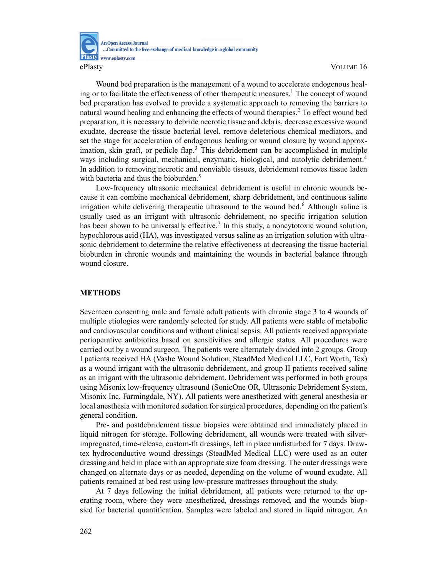**An Open Access Journal** ...Committed to the free exchange of medical knowledge in a global community **Plasty** www.eplasty.com ePlasty VOLUME 16

Wound bed preparation is the management of a wound to accelerate endogenous healing or to facilitate the effectiveness of other therapeutic measures.<sup>1</sup> The concept of wound bed preparation has evolved to provide a systematic approach to removing the barriers to natural wound healing and enhancing the effects of wound therapies.2 To effect wound bed preparation, it is necessary to debride necrotic tissue and debris, decrease excessive wound exudate, decrease the tissue bacterial level, remove deleterious chemical mediators, and set the stage for acceleration of endogenous healing or wound closure by wound approximation, skin graft, or pedicle flap. $3$  This debridement can be accomplished in multiple ways including surgical, mechanical, enzymatic, biological, and autolytic debridement.<sup>4</sup> In addition to removing necrotic and nonviable tissues, debridement removes tissue laden with bacteria and thus the bioburden.<sup>5</sup>

Low-frequency ultrasonic mechanical debridement is useful in chronic wounds because it can combine mechanical debridement, sharp debridement, and continuous saline irrigation while delivering therapeutic ultrasound to the wound bed. $6$  Although saline is usually used as an irrigant with ultrasonic debridement, no specific irrigation solution has been shown to be universally effective.<sup>7</sup> In this study, a noncytotoxic wound solution, hypochlorous acid (HA), was investigated versus saline as an irrigation solution with ultrasonic debridement to determine the relative effectiveness at decreasing the tissue bacterial bioburden in chronic wounds and maintaining the wounds in bacterial balance through wound closure.

## **METHODS**

Seventeen consenting male and female adult patients with chronic stage 3 to 4 wounds of multiple etiologies were randomly selected for study. All patients were stable of metabolic and cardiovascular conditions and without clinical sepsis. All patients received appropriate perioperative antibiotics based on sensitivities and allergic status. All procedures were carried out by a wound surgeon. The patients were alternately divided into 2 groups. Group I patients received HA (Vashe Wound Solution; SteadMed Medical LLC, Fort Worth, Tex) as a wound irrigant with the ultrasonic debridement, and group II patients received saline as an irrigant with the ultrasonic debridement. Debridement was performed in both groups using Misonix low-frequency ultrasound (SonicOne OR, Ultrasonic Debridement System, Misonix Inc, Farmingdale, NY). All patients were anesthetized with general anesthesia or local anesthesia with monitored sedation for surgical procedures, depending on the patient's general condition.

Pre- and postdebridement tissue biopsies were obtained and immediately placed in liquid nitrogen for storage. Following debridement, all wounds were treated with silverimpregnated, time-release, custom-fit dressings, left in place undisturbed for 7 days. Drawtex hydroconductive wound dressings (SteadMed Medical LLC) were used as an outer dressing and held in place with an appropriate size foam dressing. The outer dressings were changed on alternate days or as needed, depending on the volume of wound exudate. All patients remained at bed rest using low-pressure mattresses throughout the study.

At 7 days following the initial debridement, all patients were returned to the operating room, where they were anesthetized, dressings removed, and the wounds biopsied for bacterial quantification. Samples were labeled and stored in liquid nitrogen. An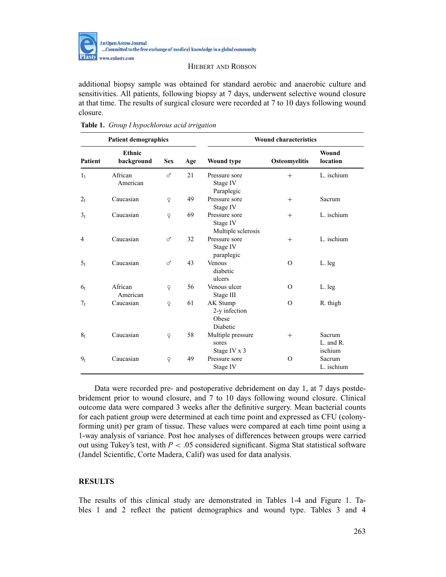

## HIEBERT AND ROBSON

additional biopsy sample was obtained for standard aerobic and anaerobic culture and sensitivities. All patients, following biopsy at 7 days, underwent selective wound closure at that time. The results of surgical closure were recorded at 7 to 10 days following wound closure.

| <b>Patient demographics</b> |                             |                |     | <b>Wound characteristics</b>                    |                      |                                       |
|-----------------------------|-----------------------------|----------------|-----|-------------------------------------------------|----------------------|---------------------------------------|
| <b>Patient</b>              | <b>Ethnic</b><br>background | <b>Sex</b>     | Age | <b>Wound type</b>                               | <b>Osteomyelitis</b> | Wound<br>location                     |
| $1_{I}$                     | African<br>American         | ೆ              | 21  | Pressure sore<br>Stage IV<br>Paraplegic         | $^{+}$               | L. ischium                            |
| 2 <sub>I</sub>              | Caucasian                   | $\overline{P}$ | 49  | Pressure sore<br>Stage IV                       | $^{+}$               | Sacrum                                |
| 3 <sub>1</sub>              | Caucasian                   | $\mathsf{Q}$   | 69  | Pressure sore<br>Stage IV<br>Multiple sclerosis | $^{+}$               | L. ischium                            |
| $\overline{4}$              | Caucasian                   | ♂              | 32  | Pressure sore<br>Stage IV<br>paraplegic         | $^{+}$               | L. ischium                            |
| 5 <sub>I</sub>              | Caucasian                   | ♂              | 43  | Venous<br>diabetic<br>ulcers                    | $\Omega$             | L. leg                                |
| 6 <sub>I</sub>              | African<br>American         | $\mathsf{P}$   | 56  | Venous ulcer<br>Stage III                       | $\Omega$             | L. leg                                |
| 7 <sub>I</sub>              | Caucasian                   | $\mathsf{Q}$   | 61  | AK Stump<br>2-y infection<br>Obese<br>Diabetic  | $\Omega$             | R. thigh                              |
| 8 <sub>I</sub>              | Caucasian                   | $\mathsf{Q}$   | 58  | Multiple pressure<br>sores<br>Stage IV x 3      | $^{+}$               | <b>Sacrum</b><br>L. and R.<br>ischium |
| 9 <sub>1</sub>              | Caucasian                   | $\mathsf{Q}$   | 49  | Pressure sore<br>Stage IV                       | $\Omega$             | Sacrum<br>L. ischium                  |

**Table 1.** *Group I hypochlorous acid irrigation*

Data were recorded pre- and postoperative debridement on day 1, at 7 days postdebridement prior to wound closure, and 7 to 10 days following wound closure. Clinical outcome data were compared 3 weeks after the definitive surgery. Mean bacterial counts for each patient group were determined at each time point and expressed as CFU (colonyforming unit) per gram of tissue. These values were compared at each time point using a 1-way analysis of variance. Post hoc analyses of differences between groups were carried out using Tukey's test, with  $P < 0.05$  considered significant. Sigma Stat statistical software (Jandel Scientific, Corte Madera, Calif) was used for data analysis.

# **RESULTS**

The results of this clinical study are demonstrated in Tables 1-4 and Figure 1. Tables 1 and 2 reflect the patient demographics and wound type. Tables 3 and 4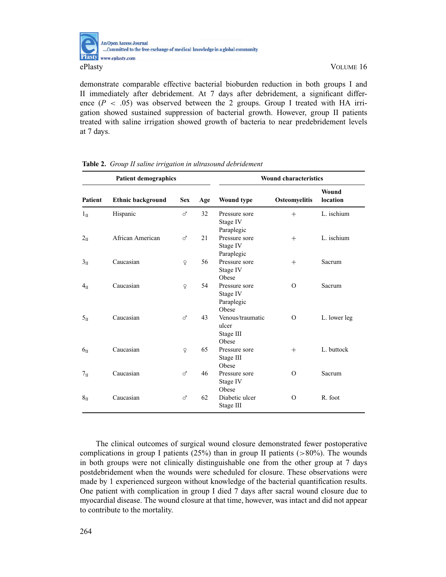

demonstrate comparable effective bacterial bioburden reduction in both groups I and II immediately after debridement. At 7 days after debridement, a significant difference  $(P < .05)$  was observed between the 2 groups. Group I treated with HA irrigation showed sustained suppression of bacterial growth. However, group II patients treated with saline irrigation showed growth of bacteria to near predebridement levels at 7 days.

| <b>Patient demographics</b> |                          |              |     | <b>Wound characteristics</b>                     |               |                   |
|-----------------------------|--------------------------|--------------|-----|--------------------------------------------------|---------------|-------------------|
| <b>Patient</b>              | <b>Ethnic background</b> | <b>Sex</b>   | Age | <b>Wound type</b>                                | Osteomyelitis | Wound<br>location |
| 1 <sub>II</sub>             | Hispanic                 | ♂            | 32  | Pressure sore<br>Stage IV<br>Paraplegic          | $^{+}$        | L. ischium        |
| 2 <sub>II</sub>             | African American         | ♂            | 21  | Pressure sore<br>Stage IV<br>Paraplegic          | $^{+}$        | L. ischium        |
| 3 <sub>II</sub>             | Caucasian                | $\mathsf{Q}$ | 56  | Pressure sore<br>Stage IV<br>Obese               | $^{+}$        | Sacrum            |
| 4 <sub>II</sub>             | Caucasian                | $\mathsf{Q}$ | 54  | Pressure sore<br>Stage IV<br>Paraplegic<br>Obese | 0             | Sacrum            |
| 5 <sub>II</sub>             | Caucasian                | ♂            | 43  | Venous/traumatic<br>ulcer<br>Stage III<br>Obese  | O             | L. lower leg      |
| 6 <sub>II</sub>             | Caucasian                | $\mathsf{Q}$ | 65  | Pressure sore<br>Stage III<br>Obese              | $^{+}$        | L. buttock        |
| 7 <sub>II</sub>             | Caucasian                | ♂            | 46  | Pressure sore<br>Stage IV<br>Obese               | $\Omega$      | Sacrum            |
| $8_{\text{II}}$             | Caucasian                | ♂            | 62  | Diabetic ulcer<br>Stage III                      | $\Omega$      | R. foot           |

**Table 2.** *Group II saline irrigation in ultrasound debridement*

The clinical outcomes of surgical wound closure demonstrated fewer postoperative complications in group I patients  $(25%)$  than in group II patients  $(>80%)$ . The wounds in both groups were not clinically distinguishable one from the other group at 7 days postdebridement when the wounds were scheduled for closure. These observations were made by 1 experienced surgeon without knowledge of the bacterial quantification results. One patient with complication in group I died 7 days after sacral wound closure due to myocardial disease. The wound closure at that time, however, was intact and did not appear to contribute to the mortality.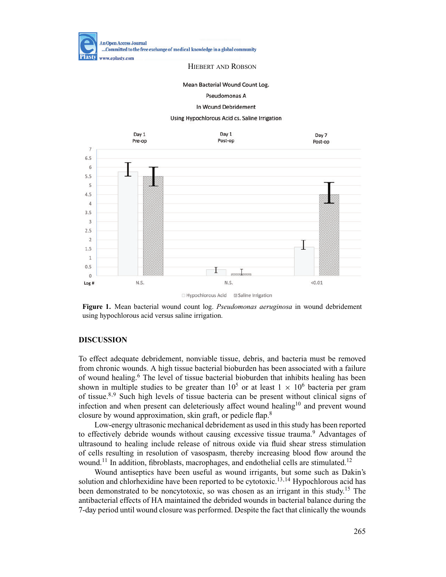

### HIEBERT AND ROBSON

#### Mean Bacterial Wound Count Log.

## Pseudomonas A

#### In Wound Debridement

#### Using Hypochlorous Acid cs. Saline Irrigation



**Figure 1.** Mean bacterial wound count log. *Pseudomonas aeruginosa* in wound debridement using hypochlorous acid versus saline irrigation.

## **DISCUSSION**

To effect adequate debridement, nonviable tissue, debris, and bacteria must be removed from chronic wounds. A high tissue bacterial bioburden has been associated with a failure of wound healing.6 The level of tissue bacterial bioburden that inhibits healing has been shown in multiple studies to be greater than  $10^5$  or at least  $1 \times 10^6$  bacteria per gram of tissue.8,9 Such high levels of tissue bacteria can be present without clinical signs of infection and when present can deleteriously affect wound healing<sup>10</sup> and prevent wound closure by wound approximation, skin graft, or pedicle flap.8

Low-energy ultrasonic mechanical debridement as used in this study has been reported to effectively debride wounds without causing excessive tissue trauma.<sup>9</sup> Advantages of ultrasound to healing include release of nitrous oxide via fluid shear stress stimulation of cells resulting in resolution of vasospasm, thereby increasing blood flow around the wound.<sup>11</sup> In addition, fibroblasts, macrophages, and endothelial cells are stimulated.<sup>12</sup>

Wound antiseptics have been useful as wound irrigants, but some such as Dakin's solution and chlorhexidine have been reported to be cytotoxic.<sup>13,14</sup> Hypochlorous acid has been demonstrated to be noncytotoxic, so was chosen as an irrigant in this study.<sup>15</sup> The antibacterial effects of HA maintained the debrided wounds in bacterial balance during the 7-day period until wound closure was performed. Despite the fact that clinically the wounds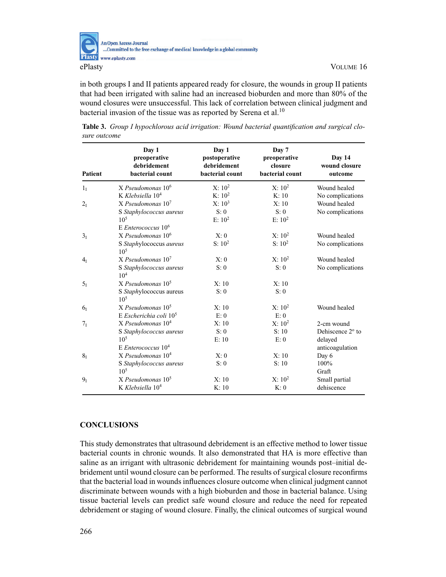

in both groups I and II patients appeared ready for closure, the wounds in group II patients that had been irrigated with saline had an increased bioburden and more than 80% of the wound closures were unsuccessful. This lack of correlation between clinical judgment and bacterial invasion of the tissue was as reported by Serena et al.<sup>10</sup>

**Table 3.** *Group I hypochlorous acid irrigation: Wound bacterial quantification and surgical closure outcome*

| <b>Patient</b> | Day 1<br>preoperative<br>debridement<br>bacterial count | Day 1<br>postoperative<br>debridement<br>bacterial count | Day 7<br>preoperative<br>closure<br>bacterial count | Day 14<br>wound closure<br>outcome |
|----------------|---------------------------------------------------------|----------------------------------------------------------|-----------------------------------------------------|------------------------------------|
| 1 <sub>I</sub> | $X$ Pseudomonas $106$                                   | $X: 10^2$                                                | $X: 10^2$                                           | Wound healed                       |
|                | K Klebsiella $10^4$                                     | K: 10 <sup>2</sup>                                       | K: 10                                               | No complications                   |
| 2 <sub>I</sub> | $X$ Pseudomonas $107$                                   | $X: 10^3$                                                | X: 10                                               | Wound healed                       |
|                | S Staphylococcus aureus                                 | S: 0                                                     | S: 0                                                | No complications                   |
|                | $10^{5}$                                                | $E: 10^2$                                                | $E: 10^2$                                           |                                    |
|                | $E$ <i>Enterococcus</i> $106$                           |                                                          |                                                     |                                    |
| 3 <sub>1</sub> | $X$ Pseudomonas $106$                                   | X: 0                                                     | $X: 10^2$                                           | Wound healed                       |
|                | S Staphylococcus aureus<br>$10^{5}$                     | S: 10 <sup>2</sup>                                       | S: 10 <sup>2</sup>                                  | No complications                   |
| 4 <sub>I</sub> | $X$ Pseudomonas $107$                                   | X: 0                                                     | $X: 10^2$                                           | Wound healed                       |
|                | S Staphylococcus aureus<br>10 <sup>4</sup>              | S: 0                                                     | S: 0                                                | No complications                   |
| 5 <sub>I</sub> | X Pseudomonas $10^5$                                    | X: 10                                                    | X: 10                                               |                                    |
|                | S Staphylococcus aureus<br>$10^{5}$                     | S: 0                                                     | S: 0                                                |                                    |
| 6 <sub>I</sub> | X Pseudomonas 10 <sup>5</sup>                           | X: 10                                                    | $X: 10^2$                                           | Wound healed                       |
|                | E Escherichia coli 10 <sup>5</sup>                      | E: 0                                                     | E: 0                                                |                                    |
| 7 <sub>I</sub> | X Pseudomonas 10 <sup>4</sup>                           | X: 10                                                    | $X: 10^2$                                           | 2-cm wound                         |
|                | S Staphylococcus aureus                                 | S: 0                                                     | S: 10                                               | Dehiscence 2 <sup>o</sup> to       |
|                | $10^{5}$                                                | E:10                                                     | E: 0                                                | delayed                            |
|                | $E$ <i>Enterococcus</i> $104$                           |                                                          |                                                     | anticoagulation                    |
| 8 <sub>1</sub> | $X$ Pseudomonas $104$                                   | X: 0                                                     | X: 10                                               | Day 6                              |
|                | S Staphylococcus aureus                                 | S: 0                                                     | S: 10                                               | 100%                               |
|                | $10^{5}$                                                |                                                          |                                                     | Graft                              |
| 9 <sub>I</sub> | $X$ Pseudomonas $105$                                   | X: 10                                                    | X: 10 <sup>2</sup>                                  | Small partial                      |
|                | K Klebsiella 10 <sup>4</sup>                            | K:10                                                     | K: 0                                                | dehiscence                         |

# **CONCLUSIONS**

This study demonstrates that ultrasound debridement is an effective method to lower tissue bacterial counts in chronic wounds. It also demonstrated that HA is more effective than saline as an irrigant with ultrasonic debridement for maintaining wounds post–initial debridement until wound closure can be performed. The results of surgical closure reconfirms that the bacterial load in wounds influences closure outcome when clinical judgment cannot discriminate between wounds with a high bioburden and those in bacterial balance. Using tissue bacterial levels can predict safe wound closure and reduce the need for repeated debridement or staging of wound closure. Finally, the clinical outcomes of surgical wound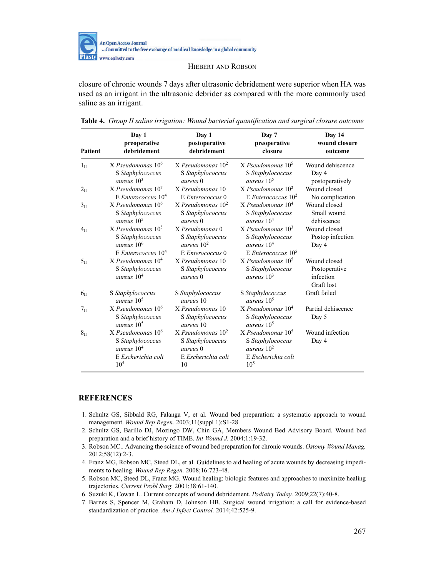

## HIEBERT AND ROBSON

closure of chronic wounds 7 days after ultrasonic debridement were superior when HA was used as an irrigant in the ultrasonic debrider as compared with the more commonly used saline as an irrigant.

| <b>Patient</b>  | Day 1<br>preoperative<br>debridement                                                                                 | Day 1<br>postoperative<br>debridement                                             | Day 7<br>preoperative<br>closure                                                            | <b>Day 14</b><br>wound closure<br>outcome                |
|-----------------|----------------------------------------------------------------------------------------------------------------------|-----------------------------------------------------------------------------------|---------------------------------------------------------------------------------------------|----------------------------------------------------------|
| 1 <sub>II</sub> | $X$ Pseudomonas $106$<br>S Staphylococcus<br>aureus $103$                                                            | X Pseudomonas $10^2$<br>S Staphylococcus<br><i>aureus</i> 0                       | $X$ Pseudomonas $105$<br>S Staphylococcus<br>aureus 10 <sup>5</sup>                         | Wound dehiscence<br>Day 4<br>postoperatively             |
| $2_{\rm II}$    | $X$ Pseudomonas $107$<br>E Enterococcus 10 <sup>4</sup>                                                              | X Pseudomonas 10<br>E Enterococcus 0                                              | $X$ Pseudomonas $102$<br>$E$ <i>Enterococcus</i> $102$                                      | Wound closed<br>No complication                          |
| 3 <sub>II</sub> | X Pseudomonas 10 <sup>6</sup><br>S Staphylococcus<br><i>aureus</i> 10 <sup>5</sup>                                   | X Pseudomonas $10^2$<br>S Staphylococcus<br><i>aureus</i> 0                       | $X$ Pseudomonas $104$<br>S Staphylococcus<br>aureus $104$                                   | Wound closed<br>Small wound<br>dehiscence                |
| $4_{\text{II}}$ | $X$ Pseudomonas $105$<br>S Staphylococcus<br>aureus 10 <sup>6</sup><br>$E$ <i>Enterococcus</i> $104$                 | X Pseudomonas 0<br>S Staphylococcus<br>aureus $102$<br>E Enterococcus 0           | $X$ Pseudomonas $10^3$<br>S Staphylococcus<br>aureus $104$<br>$E$ <i>Enterococcus</i> $105$ | Wound closed<br>Postop infection<br>Day 4                |
| $5_{\text{II}}$ | $X$ Pseudomonas $104$<br>S Staphylococcus<br><i>aureus</i> 10 <sup>4</sup>                                           | X Pseudomonas 10<br>S Staphylococcus<br><i>aureus</i> 0                           | $X$ Pseudomonas $105$<br>S Staphylococcus<br><i>aureus</i> 10 <sup>3</sup>                  | Wound closed<br>Postoperative<br>infection<br>Graft lost |
| 6 <sub>II</sub> | S Staphylococcus<br><i>aureus</i> 10 <sup>5</sup>                                                                    | S Staphylococcus<br><i>aureus</i> 10                                              | S Staphylococcus<br><i>aureus</i> 10 <sup>5</sup>                                           | Graft failed                                             |
| 7 <sub>II</sub> | $X$ Pseudomonas $106$<br>S Staphylococcus<br><i>aureus</i> 10 <sup>5</sup>                                           | X Pseudomonas 10<br>S Staphylococcus<br><i>aureus</i> 10                          | $X$ Pseudomonas $104$<br>S Staphylococcus<br><i>aureus</i> 10 <sup>5</sup>                  | Partial dehiscence<br>Day 5                              |
| $8_{\rm II}$    | X Pseudomonas 10 <sup>6</sup><br>S Staphylococcus<br>aureus 10 <sup>4</sup><br>E Escherichia coli<br>10 <sup>5</sup> | $X$ Pseudomonas $102$<br>S Staphylococcus<br>aureus 0<br>E Escherichia coli<br>10 | $X$ Pseudomonas $105$<br>S Staphylococcus<br>aureus $102$<br>E Escherichia coli<br>$10^{5}$ | Wound infection<br>Day 4                                 |

**Table 4.** *Group II saline irrigation: Wound bacterial quantification and surgical closure outcome*

## **REFERENCES**

- 1. Schultz GS, Sibbald RG, Falanga V, et al. Wound bed preparation: a systematic approach to wound management. *Wound Rep Regen.* 2003;11(suppl 1):S1-28.
- 2. Schultz GS, Barillo DJ, Mozingo DW, Chin GA, Members Wound Bed Advisory Board. Wound bed preparation and a brief history of TIME. *Int Wound J.* 2004;1:19-32.
- 3. Robson MC.. Advancing the science of wound bed preparation for chronic wounds. *Ostomy Wound Manag.* 2012;58(12):2-3.
- 4. Franz MG, Robson MC, Steed DL, et al. Guidelines to aid healing of acute wounds by decreasing impediments to healing. *Wound Rep Regen.* 2008;16:723-48.
- 5. Robson MC, Steed DL, Franz MG. Wound healing: biologic features and approaches to maximize healing trajectories. *Current Probl Surg.* 2001;38:61-140.
- 6. Suzuki K, Cowan L. Current concepts of wound debridement. *Podiatry Today.* 2009;22(7):40-8.
- 7. Barnes S, Spencer M, Graham D, Johnson HB. Surgical wound irrigation: a call for evidence-based standardization of practice. *Am J Infect Control.* 2014;42:525-9.